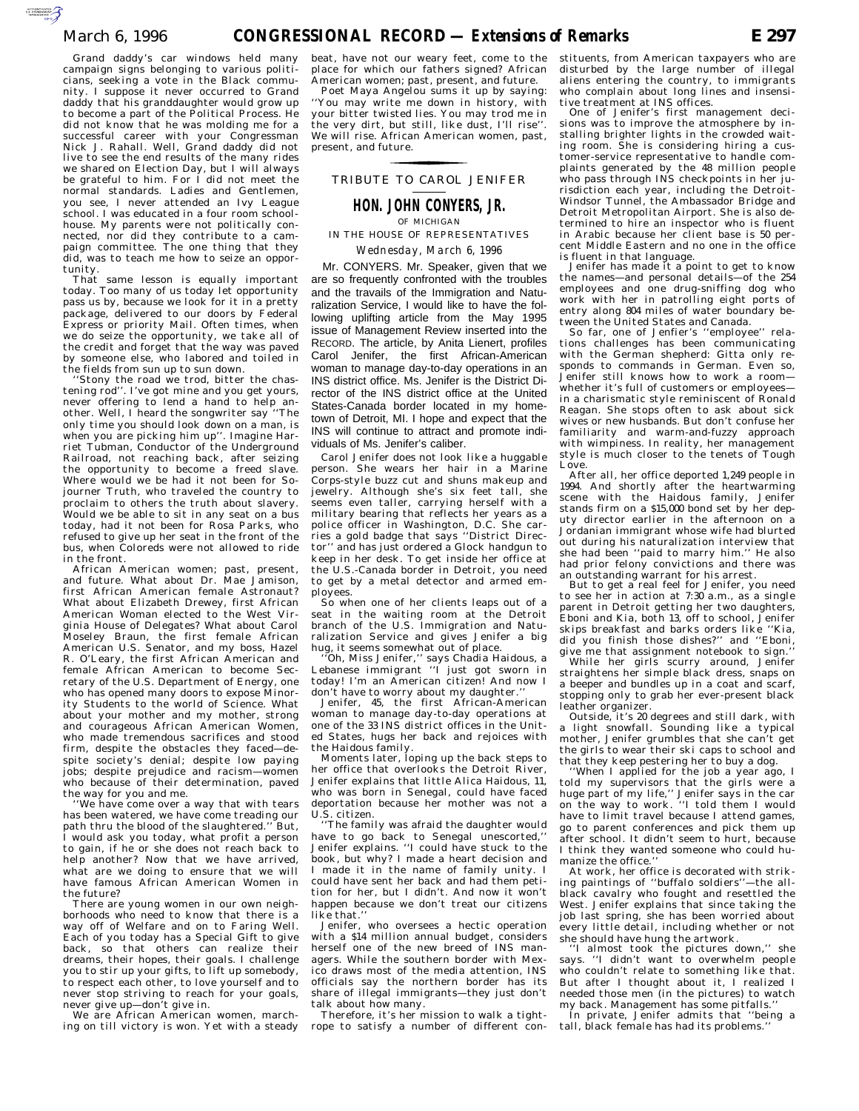Grand daddy's car windows held many campaign signs belonging to various politicians, seeking a vote in the Black community. I suppose it never occurred to Grand daddy that his granddaughter would grow up to become a part of the Political Process. He did not know that he was molding me for a successful career with your Congressman Nick J. Rahall. Well, Grand daddy did not live to see the end results of the many rides we shared on Election Day, but I will always be grateful to him. For I did not meet the normal standards. Ladies and Gentlemen, you see, I never attended an Ivy League school. I was educated in a four room schoolhouse. My parents were not politically connected, nor did they contribute to a campaign committee. The one thing that they did, was to teach me how to seize an opportunity.

That same lesson is equally important today. Too many of us today let opportunity pass us by, because we look for it in a pretty package, delivered to our doors by Federal Express or priority Mail. Often times, when we do seize the opportunity, we take all of the credit and forget that the way was paved by someone else, who labored and toiled in the fields from sun up to sun down.

'Stony the road we trod, bitter the chastening rod''. I've got mine and you get yours, never offering to lend a hand to help another. Well, I heard the songwriter say ''The only time you should look down on a man, is when you are picking him up''. Imagine Harriet Tubman, Conductor of the Underground Railroad, not reaching back, after seizing the opportunity to become a freed slave. Where would we be had it not been for Sojourner Truth, who traveled the country to proclaim to others the truth about slavery. Would we be able to sit in any seat on a bus today, had it not been for Rosa Parks, who refused to give up her seat in the front of the bus, when Coloreds were not allowed to ride in the front.

African American women; past, present, and future. What about Dr. Mae Jamison, first African American female Astronaut? What about Elizabeth Drewey, first African American Woman elected to the West Virginia House of Delegates? What about Carol Moseley Braun, the first female African American U.S. Senator, and my boss, Hazel R. O'Leary, the first African American and female African American to become Secretary of the U.S. Department of Energy, one who has opened many doors to expose Minority Students to the world of Science. What about your mother and my mother, strong and courageous African American Women, who made tremendous sacrifices and stood firm, despite the obstacles they faced—despite society's denial; despite low paying jobs; despite prejudice and racism—women who because of their determination, paved the way for you and me.

We have come over a way that with tears has been watered, we have come treading our path thru the blood of the slaughtered.'' But, I would ask you today, what profit a person to gain, if he or she does not reach back to help another? Now that we have arrived. what are we doing to ensure that we will have famous African American Women in the future?

There are young women in our own neighborhoods who need to know that there is a way off of Welfare and on to Faring Well. Each of you today has a Special Gift to give back, so that others can realize their dreams, their hopes, their goals. I challenge you to stir up your gifts, to lift up somebody, to respect each other, to love yourself and to never stop striving to reach for your goals, never give up—don't give in.

We are African American women, marching on till victory is won. Yet with a steady beat, have not our weary feet, come to the place for which our fathers signed? African American women; past, present, and future.

Poet Maya Angelou sums it up by saying: You may write me down in history, with your bitter twisted lies. You may trod me in the very dirt, but still, like dust, I'll rise''. We will rise. African American women, past, present, and future.

## TRIBUTE TO CAROL JENIFER for the control of the control of

# **HON. JOHN CONYERS, JR.** OF MICHIGAN

IN THE HOUSE OF REPRESENTATIVES *Wednesday, March 6, 1996*

Mr. CONYERS. Mr. Speaker, given that we are so frequently confronted with the troubles and the travails of the Immigration and Naturalization Service, I would like to have the following uplifting article from the May 1995 issue of Management Review inserted into the RECORD. The article, by Anita Lienert, profiles Carol Jenifer, the first African-American woman to manage day-to-day operations in an INS district office. Ms. Jenifer is the District Director of the INS district office at the United States-Canada border located in my hometown of Detroit, MI. I hope and expect that the INS will continue to attract and promote individuals of Ms. Jenifer's caliber.

Carol Jenifer does not look like a huggable person. She wears her hair in a Marine Corps-style buzz cut and shuns makeup and jewelry. Although she's six feet tall, she seems even taller, carrying herself with a military bearing that reflects her years as a police officer in Washington, D.C. She carries a gold badge that says ''District Director'' and has just ordered a Glock handgun to keep in her desk. To get inside her office at the U.S.-Canada border in Detroit, you need to get by a metal detector and armed employees.

So when one of her clients leaps out of a seat in the waiting room at the Detroit branch of the U.S. Immigration and Naturalization Service and gives Jenifer a big

hug, it seems somewhat out of place. ''Oh, Miss Jenifer,'' says Chadia Haidous, a Lebanese immigrant ''I just got sworn in today! I'm an American citizen! And now I

don't have to worry about my daughter.'' Jenifer, 45, the first African-American woman to manage day-to-day operations at one of the 33 INS district offices in the United States, hugs her back and rejoices with the Haidous family.

Moments later, loping up the back steps to her office that overlooks the Detroit River, Jenifer explains that little Alica Haidous, 11, who was born in Senegal, could have faced deportation because her mother was not a U.S. citizen.

''The family was afraid the daughter would have to go back to Senegal unescorted,'' Jenifer explains. ''I could have stuck to the book, but why? I made a heart decision and I made it in the name of family unity. I could have sent her back and had them petition for her, but I didn't. And now it won't happen because we don't treat our citizens like that."

Jenifer, who oversees a hectic operation with a \$14 million annual budget, considers herself one of the new breed of INS managers. While the southern border with Mexico draws most of the media attention, INS officials say the northern border has its share of illegal immigrants—they just don't talk about how many.

Therefore, it's her mission to walk a tightrope to satisfy a number of different constituents, from American taxpayers who are disturbed by the large number of illegal aliens entering the country, to immigrants who complain about long lines and insensitive treatment at INS offices.

One of Jenifer's first management decisions was to improve the atmosphere by installing brighter lights in the crowded waiting room. She is considering hiring a customer-service representative to handle complaints generated by the 48 million people who pass through INS checkpoints in her jurisdiction each year, including the Detroit-Windsor Tunnel, the Ambassador Bridge and Detroit Metropolitan Airport. She is also determined to hire an inspector who is fluent in Arabic because her client base is 50 percent Middle Eastern and no one in the office is fluent in that language.

Jenifer has made it a point to get to know the names—and personal details—of the 254 employees and one drug-sniffing dog who work with her in patrolling eight ports of entry along 804 miles of water boundary between the United States and Canada.

So far, one of Jenfier's ''employee'' relations challenges has been communicating with the German shepherd: Gitta only responds to commands in German. Even so, Jenifer still knows how to work a room whether it's full of customers or employees in a charismatic style reminiscent of Ronald Reagan. She stops often to ask about sick wives or new husbands. But don't confuse her familiarity and warm-and-fuzzy approach with wimpiness. In reality, her management style is much closer to the tenets of Tough Love.

After all, her office deported 1,249 people in 1994. And shortly after the heartwarming scene with the Haidous family, Jenifer stands firm on a \$15,000 bond set by her deputy director earlier in the afternoon on a Jordanian immigrant whose wife had blurted out during his naturalization interview that she had been ''paid to marry him.'' He also had prior felony convictions and there was an outstanding warrant for his arrest.

But to get a real feel for Jenifer, you need to see her in action at 7:30 a.m., as a single parent in Detroit getting her two daughters, Eboni and Kia, both 13, off to school, Jenifer skips breakfast and barks orders like ''Kia, did you finish those dishes?'' and ''Eboni, give me that assignment notebook to sign.'' While her girls scurry around, Jenifer straightens her simple black dress, snaps on a beeper and bundles up in a coat and scarf, stopping only to grab her ever-present black

leather organizer. Outside, it's 20 degrees and still dark, with a light snowfall. Sounding like a typical mother, Jenifer grumbles that she can't get the girls to wear their ski caps to school and that they keep pestering her to buy a dog.

''When I applied for the job a year ago, I told my supervisors that the girls were a huge part of my life,'' Jenifer says in the car on the way to work. ''I told them I would have to limit travel because I attend games. go to parent conferences and pick them up after school. It didn't seem to hurt, because I think they wanted someone who could humanize the office.''

At work, her office is decorated with striking paintings of ''buffalo soldiers''—the allblack cavalry who fought and resettled the West. Jenifer explains that since taking the job last spring, she has been worried about every little detail, including whether or not

she should have hung the artwork. ''I almost took the pictures down,'' she says. ''I didn't want to overwhelm people who couldn't relate to something like that. But after I thought about it,  $\breve{\mathrm{I}}$  realized I needed those men (in the pictures) to watch my back. Management has some pitfalls.''

In private, Jenifer admits that ''being a tall, black female has had its problems.''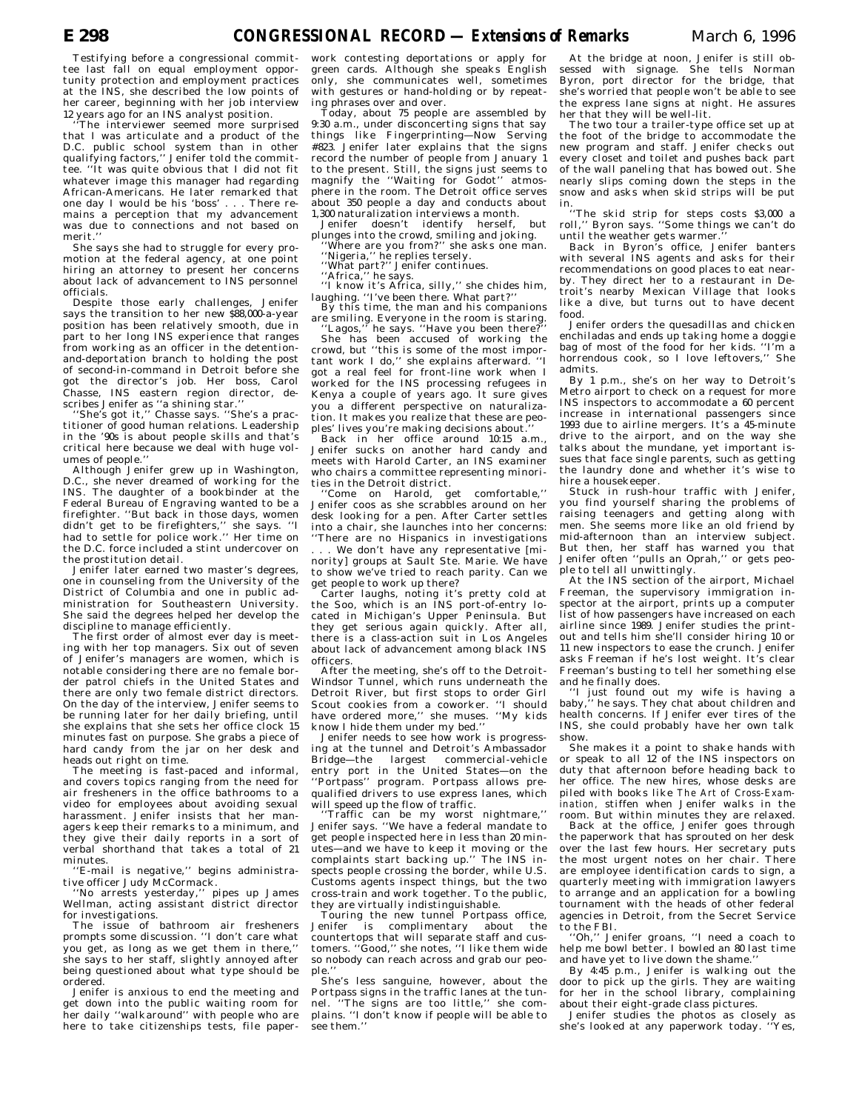Testifying before a congressional committee last fall on equal employment opportunity protection and employment practices at the INS, she described the low points of her career, beginning with her job interview 12 years ago for an INS analyst position.

The interviewer seemed more surprised that I was articulate and a product of the D.C. public school system than in other qualifying factors,'' Jenifer told the committee. ''It was quite obvious that I did not fit whatever image this manager had regarding African-Americans. He later remarked that one day I would be his 'boss' . . . There remains a perception that my advancement was due to connections and not based on merit.''

She says she had to struggle for every promotion at the federal agency, at one point hiring an attorney to present her concerns about lack of advancement to INS personnel officials.

Despite those early challenges, Jenifer says the transition to her new \$88,000-a-year position has been relatively smooth, due in part to her long INS experience that ranges from working as an officer in the detentionand-deportation branch to holding the post of second-in-command in Detroit before she got the director's job. Her boss, Carol Chasse, INS eastern region director, describes Jenifer as ''a shining star.''

''She's got it,'' Chasse says. ''She's a practitioner of good human relations. Leadership in the '90s is about people skills and that's critical here because we deal with huge volumes of people.''

Although Jenifer grew up in Washington, D.C., she never dreamed of working for the INS. The daughter of a bookbinder at the Federal Bureau of Engraving wanted to be a firefighter. ''But back in those days, women didn't get to be firefighters,'' she says. ''I had to settle for police work.'' Her time on the D.C. force included a stint undercover on the prostitution detail.

Jenifer later earned two master's degrees, one in counseling from the University of the District of Columbia and one in public administration for Southeastern University. She said the degrees helped her develop the discipline to manage efficiently.

The first order of almost ever day is meeting with her top managers. Six out of seven of Jenifer's managers are women, which is notable considering there are no female border patrol chiefs in the United States and there are only two female district directors. On the day of the interview, Jenifer seems to be running later for her daily briefing, until she explains that she sets her office clock 15 minutes fast on purpose. She grabs a piece of hard candy from the jar on her desk and heads out right on time.

The meeting is fast-paced and informal, and covers topics ranging from the need for air fresheners in the office bathrooms to a video for employees about avoiding sexual harassment. Jenifer insists that her managers keep their remarks to a minimum, and they give their daily reports in a sort of verbal shorthand that takes a total of 21 minutes.

''E-mail is negative,'' begins administrative officer Judy McCormack.

''No arrests yesterday,'' pipes up James Wellman, acting assistant district director for investigations.

The issue of bathroom air fresheners prompts some discussion. ''I don't care what you get, as long as we get them in there,'' she says to her staff, slightly annoyed after being questioned about what type should be ordered.

Jenifer is anxious to end the meeting and get down into the public waiting room for her daily ''walkaround'' with people who are here to take citizenships tests, file paper-

work contesting deportations or apply for green cards. Although she speaks English only, she communicates well, sometimes with gestures or hand-holding or by repeating phrases over and over.

Today, about 75 people are assembled by 9:30 a.m., under disconcerting signs that say things like Fingerprinting—Now Serving #823. Jenifer later explains that the signs record the number of people from January 1 to the present. Still, the signs just seems to magnify the ''Waiting for Godot'' atmosphere in the room. The Detroit office serves about 350 people a day and conducts about 1,300 naturalization interviews a month.

Jenifer doesn't identify herself, but plunges into the crowd, smiling and joking.

''Where are you from?'' she asks one man. ''Nigeria,'' he replies tersely.

''What part?'' Jenifer continues.

''Africa,'' he says. ''I know it's Africa, silly,'' she chides him, laughing. ''I've been there. What part?'' By this time, the man and his companions

are smiling. Everyone in the room is staring.<br>"Lagos," he says. "Have you been there?"

''Lagos,'' he says. ''Have you been there?'' She has been accused of working the crowd, but ''this is some of the most important work I do,'' she explains afterward. ''I got a real feel for front-line work when I worked for the INS processing refugees in Kenya a couple of years ago. It sure gives you a different perspective on naturalization. It makes you realize that these are peoples' lives you're making decisions about.

Back in her office around 10:15 a.m., Jenifer sucks on another hard candy and meets with Harold Carter, an INS examiner who chairs a committee representing minorities in the Detroit district.

''Come on Harold, get comfortable,'' Jenifer coos as she scrabbles around on her desk looking for a pen. After Carter settles into a chair, she launches into her concerns: There are no Hispanics in investigations

. . . We don't have any representative [minority] groups at Sault Ste. Marie. We have to show we've tried to reach parity. Can we get people to work up there?

Carter laughs, noting it's pretty cold at the Soo, which is an INS port-of-entry located in Michigan's Upper Peninsula. But they get serious again quickly. After all, there is a class-action suit in Los Angeles about lack of advancement among black INS officers.

After the meeting, she's off to the Detroit-Windsor Tunnel, which runs underneath the Detroit River, but first stops to order Girl Scout cookies from a coworker. ''I should have ordered more,'' she muses. ''My kids know I hide them under my bed.

Jenifer needs to see how work is progressing at the tunnel and Detroit's Ambassador Bridge—the largest commercial-vehicle entry port in the United States—on the 'Portpass'' program. Portpass allows prequalified drivers to use express lanes, which will speed up the flow of traffic.

''Traffic can be my worst nightmare,'' Jenifer says. ''We have a federal mandate to get people inspected here in less than 20 minutes—and we have to keep it moving or the complaints start backing up.'' The INS inspects people crossing the border, while U.S. Customs agents inspect things, but the two cross-train and work together. To the public, they are virtually indistinguishable.

Touring the new tunnel Portpass office, Jenifer is complimentary countertops that will separate staff and customers. ''Good,'' she notes, ''I like them wide so nobody can reach across and grab our people.

She's less sanguine, however, about the Portpass signs in the traffic lanes at the tun-<br>nel. "The signs are too little." she com-'The signs are too little," she complains. ''I don't know if people will be able to see them.''

At the bridge at noon, Jenifer is still obsessed with signage. She tells Norman Byron, port director for the bridge, that she's worried that people won't be able to see the express lane signs at night. He assures her that they will be well-lit.

The two tour a trailer-type office set up at the foot of the bridge to accommodate the new program and staff. Jenifer checks out every closet and toilet and pushes back part of the wall paneling that has bowed out. She nearly slips coming down the steps in the snow and asks when skid strips will be put

in. ''The skid strip for steps costs \$3,000 a roll,'' Byron says. ''Some things we can't do until the weather gets warmer.''

Back in Byron's office, Jenifer banters with several INS agents and asks for their recommendations on good places to eat nearby. They direct her to a restaurant in Detroit's nearby Mexican Village that looks like a dive, but turns out to have decent food.

Jenifer orders the quesadillas and chicken enchiladas and ends up taking home a doggie bag of most of the food for her kids. ''I'm a horrendous cook, so I love leftovers,'' She admits.

By 1 p.m., she's on her way to Detroit's Metro airport to check on a request for more INS inspectors to accommodate a 60 percent increase in international passengers since 1993 due to airline mergers. It's a 45-minute drive to the airport, and on the way she talks about the mundane, yet important issues that face single parents, such as getting the laundry done and whether it's wise to hire a housekeeper.

Stuck in rush-hour traffic with Jenifer, you find yourself sharing the problems of raising teenagers and getting along with men. She seems more like an old friend by mid-afternoon than an interview subject. But then, her staff has warned you that Jenifer often ''pulls an Oprah,'' or gets people to tell all unwittingly.

At the INS section of the airport, Michael Freeman, the supervisory immigration inspector at the airport, prints up a computer list of how passengers have increased on each airline since 1989. Jenifer studies the printout and tells him she'll consider hiring 10 or 11 new inspectors to ease the crunch. Jenifer asks Freeman if he's lost weight. It's clear Freeman's busting to tell her something else and he finally does.

''I just found out my wife is having a ' he says. They chat about children and health concerns. If Jenifer ever tires of the INS, she could probably have her own talk show.

She makes it a point to shake hands with or speak to all 12 of the INS inspectors on duty that afternoon before heading back to her office. The new hires, whose desks are piled with books like *The Art of Cross-Examination,* stiffen when Jenifer walks in the room. But within minutes they are relaxed.

Back at the office, Jenifer goes through the paperwork that has sprouted on her desk over the last few hours. Her secretary puts the most urgent notes on her chair. There are employee identification cards to sign, a quarterly meeting with immigration lawyers to arrange and an application for a bowling tournament with the heads of other federal agencies in Detroit, from the Secret Service to the FBI.

''Oh,'' Jenifer groans, ''I need a coach to help me bowl better. I bowled an 80 last time and have yet to live down the shame.''

By 4:45 p.m., Jenifer is walking out the door to pick up the girls. They are waiting for her in the school library, complaining about their eight-grade class pictures.

Jenifer studies the photos as closely as she's looked at any paperwork today. ''Yes,